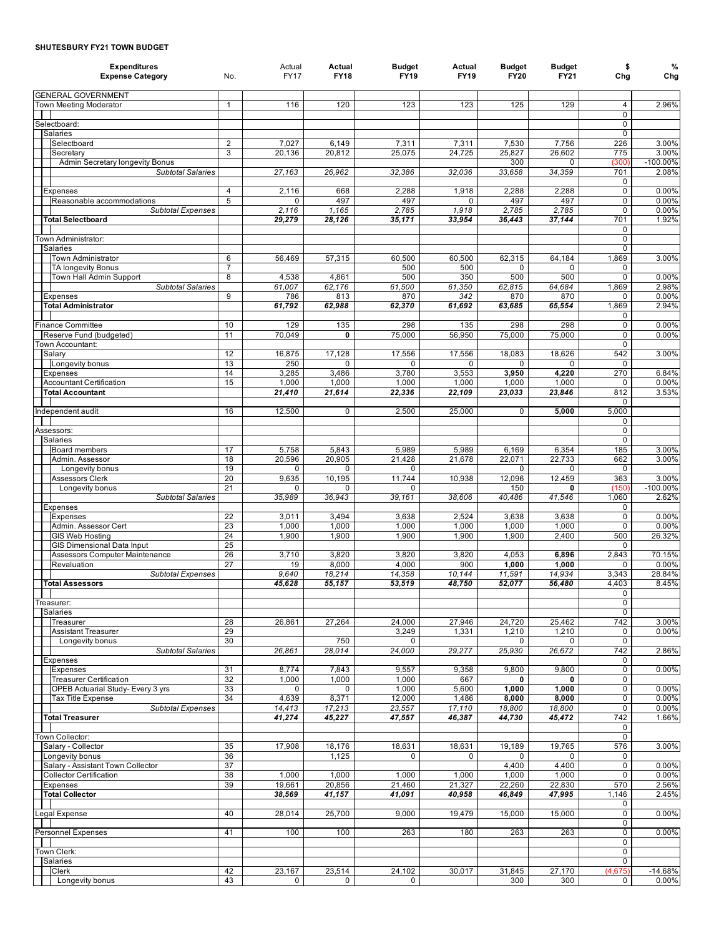## **SHUTESBURY FY21 TOWN BUDGET**

| <b>Expenditures</b><br><b>Expense Category</b>       | No.                 | Actual<br><b>FY17</b> | Actual<br><b>FY18</b> | <b>Budget</b><br><b>FY19</b> | Actual<br><b>FY19</b> | <b>Budget</b><br><b>FY20</b> | <b>Budget</b><br>FY21 | \$<br>Chg                     | %<br>Chg        |
|------------------------------------------------------|---------------------|-----------------------|-----------------------|------------------------------|-----------------------|------------------------------|-----------------------|-------------------------------|-----------------|
| <b>GENERAL GOVERNMENT</b>                            |                     |                       |                       |                              |                       |                              |                       |                               |                 |
| <b>Town Meeting Moderator</b>                        | $\mathbf{1}$        | 116                   | 120                   | 123                          | 123                   | 125                          | 129                   | $\overline{4}$                | 2.96%           |
|                                                      |                     |                       |                       |                              |                       |                              |                       | $\mathbf 0$<br>$\mathbf 0$    |                 |
| Selectboard:<br>Salaries                             |                     |                       |                       |                              |                       |                              |                       | $\mathbf 0$                   |                 |
| Selectboard                                          | 2                   | 7,027                 | 6,149                 | 7,311                        | 7,311                 | 7,530                        | 7,756                 | 226                           | 3.00%           |
| Secretary                                            | 3                   | 20,136                | 20,812                | 25,075                       | 24,725                | 25,827                       | 26,602                | 775                           | 3.00%           |
| Admin Secretary longevity Bonus                      |                     |                       |                       |                              |                       | 300                          | 0                     | (300)                         | $-100.00\%$     |
| <b>Subtotal Salaries</b>                             |                     | 27,163                | 26,962                | 32,386                       | 32,036                | 33,658                       | 34,359                | 701                           | 2.08%           |
|                                                      |                     |                       |                       |                              |                       |                              |                       | 0                             |                 |
| <b>Expenses</b><br>Reasonable accommodations         | $\overline{4}$<br>5 | 2,116<br>0            | 668<br>497            | 2,288<br>497                 | 1,918<br>0            | 2,288<br>497                 | 2,288<br>497          | $\mathbf 0$<br>0              | 0.00%<br>0.00%  |
| <b>Subtotal Expenses</b>                             |                     | 2,116                 | 1,165                 | 2,785                        | 1,918                 | 2,785                        | 2,785                 | $\mathbf 0$                   | 0.00%           |
| <b>Total Selectboard</b>                             |                     | 29,279                | 28,126                | 35,171                       | 33,954                | 36,443                       | 37,144                | 701                           | 1.92%           |
|                                                      |                     |                       |                       |                              |                       |                              |                       | 0                             |                 |
| Town Administrator:                                  |                     |                       |                       |                              |                       |                              |                       | $\mathbf 0$                   |                 |
| Salaries                                             |                     |                       |                       |                              |                       |                              |                       | $\mathbf 0$                   |                 |
| Town Administrator                                   | 6<br>$\overline{7}$ | 56,469                | 57,315                | 60,500                       | 60,500                | 62,315                       | 64,184                | 1,869                         | 3.00%           |
| <b>TA longevity Bonus</b><br>Town Hall Admin Support | 8                   | 4,538                 | 4,861                 | 500<br>500                   | 500<br>350            | $\Omega$<br>500              | 0<br>500              | 0<br>0                        | 0.00%           |
| <b>Subtotal Salaries</b>                             |                     | 61,007                | 62,176                | 61,500                       | 61,350                | 62,815                       | 64,684                | 1,869                         | 2.98%           |
| Expenses                                             | 9                   | 786                   | 813                   | 870                          | 342                   | 870                          | 870                   | $\Omega$                      | 0.00%           |
| <b>Total Administrator</b>                           |                     | 61,792                | 62,988                | 62,370                       | 61,692                | 63,685                       | 65,554                | 1,869                         | 2.94%           |
|                                                      |                     |                       |                       |                              |                       |                              |                       | 0                             |                 |
| Finance Committee                                    | 10                  | 129                   | 135                   | 298                          | 135                   | 298                          | 298                   | $\mathbf 0$                   | 0.00%           |
| Reserve Fund (budgeted)<br>Town Accountant:          | 11                  | 70,049                | 0                     | 75,000                       | 56,950                | 75,000                       | 75,000                | $\mathbf 0$<br>$\overline{0}$ | 0.00%           |
| Salary                                               | 12                  | 16,875                | 17,128                | 17.556                       | 17,556                | 18,083                       | 18,626                | 542                           | 3.00%           |
| Longevity bonus                                      | 13                  | 250                   | $\Omega$              | 0                            | $\Omega$              | 0                            | 0                     | $\mathbf 0$                   |                 |
| Expenses                                             | 14                  | 3,285                 | 3,486                 | 3,780                        | 3,553                 | 3,950                        | 4,220                 | 270                           | 6.84%           |
| <b>Accountant Certification</b>                      | 15                  | 1,000                 | 1,000                 | 1,000                        | 1,000                 | 1,000                        | 1,000                 | $\mathbf 0$                   | 0.00%           |
| <b>Total Accountant</b>                              |                     | 21,410                | 21,614                | 22,336                       | 22,109                | 23,033                       | 23,846                | 812                           | 3.53%           |
|                                                      |                     |                       |                       |                              |                       |                              |                       | $\mathbf 0$                   |                 |
| Independent audit                                    | 16                  | 12,500                | $\mathbf 0$           | 2,500                        | 25,000                | 0                            | 5,000                 | 5,000<br>$\mathbf 0$          |                 |
| Assessors:                                           |                     |                       |                       |                              |                       |                              |                       | $\mathbf 0$                   |                 |
| Salaries                                             |                     |                       |                       |                              |                       |                              |                       | $\overline{0}$                |                 |
| <b>Board members</b>                                 | 17                  | 5,758                 | 5,843                 | 5,989                        | 5,989                 | 6,169                        | 6,354                 | 185                           | 3.00%           |
| Admin. Assessor                                      | 18                  | 20,596                | 20,905                | 21,428                       | 21,678                | 22,071                       | 22,733                | 662                           | 3.00%           |
| Longevity bonus                                      | 19                  | 0                     | 0                     | 0                            |                       | 0                            | 0                     | $\mathbf 0$                   |                 |
| <b>Assessors Clerk</b>                               | 20                  | 9,635                 | 10,195                | 11,744                       | 10,938                | 12,096                       | 12,459                | 363                           | 3.00%           |
| Longevity bonus                                      | 21                  | 0<br>35,989           | 0                     | $\Omega$                     |                       | 150                          | 0                     | (150)                         | $-100.00\%$     |
| Subtotal Salaries<br><b>Expenses</b>                 |                     |                       | 36,943                | 39,161                       | 38,606                | 40,486                       | 41,546                | 1,060<br>0                    | 2.62%           |
| Expenses                                             | 22                  | 3,011                 | 3,494                 | 3,638                        | 2,524                 | 3,638                        | 3,638                 | $\mathbf 0$                   | 0.00%           |
| Admin. Assessor Cert                                 | 23                  | 1,000                 | 1,000                 | 1,000                        | 1,000                 | 1,000                        | 1,000                 | $\mathbf 0$                   | 0.00%           |
| <b>GIS Web Hosting</b>                               | 24                  | 1,900                 | 1,900                 | 1,900                        | 1,900                 | 1,900                        | 2,400                 | 500                           | 26.32%          |
| <b>GIS Dimensional Data Input</b>                    | 25                  |                       |                       |                              |                       |                              |                       | $\Omega$                      |                 |
| Assessors Computer Maintenance                       | 26                  | 3,710                 | 3,820                 | 3,820                        | 3,820                 | 4,053                        | 6,896                 | 2,843                         | 70.15%          |
| Revaluation                                          | 27                  | 19                    | 8,000                 | 4,000                        | 900                   | 1,000                        | 1,000                 | 0                             | 0.00%           |
| <b>Subtotal Expenses</b><br><b>Total Assessors</b>   |                     | 9,640<br>45,628       | 18,214<br>55,157      | 14,358<br>53,519             | 10,144<br>48,750      | 11,591<br>52,077             | 14,934<br>56,480      | 3,343<br>4,403                | 28.84%<br>8.45% |
|                                                      |                     |                       |                       |                              |                       |                              |                       | 0                             |                 |
| Treasurer:                                           |                     |                       |                       |                              |                       |                              |                       | $\mathbf 0$                   |                 |
| Salaries                                             |                     |                       |                       |                              |                       |                              |                       | $\overline{0}$                |                 |
| Treasurer                                            | 28                  | 26,861                | 27,264                | 24,000                       | 27,946                | 24,720                       | 25.462                | 742                           | 3.00%           |
| <b>Assistant Treasurer</b>                           | 29                  |                       |                       | 3,249                        | 1,331                 | 1,210                        | 1,210                 | 0                             | 0.00%           |
| Longevity bonus                                      | 30                  |                       | 750                   | $\mathbf 0$                  |                       | 0                            | 0                     | $\mathsf{O}$                  |                 |
| <b>Subtotal Salaries</b><br><b>Expenses</b>          |                     | 26,861                | 28,014                | 24,000                       | 29,277                | 25,930                       | 26,672                | 742<br>0                      | 2.86%           |
| <b>Expenses</b>                                      | 31                  | 8,774                 | 7,843                 | 9,557                        | 9,358                 | 9,800                        | 9,800                 | $\mathbf 0$                   | 0.00%           |
| <b>Treasurer Certification</b>                       | 32                  | 1,000                 | 1,000                 | 1,000                        | 667                   | 0                            | 0                     | $\overline{0}$                |                 |
| OPEB Actuarial Study- Every 3 yrs                    | 33                  | 0                     | 0                     | 1,000                        | 5,600                 | 1,000                        | 1,000                 | 0                             | 0.00%           |
| <b>Tax Title Expense</b>                             | 34                  | 4,639                 | 8,371                 | 12,000                       | 1,486                 | 8,000                        | 8,000                 | $\mathbf 0$                   | 0.00%           |
| <b>Subtotal Expenses</b>                             |                     | 14,413                | 17,213                | 23,557                       | 17,110                | 18,800                       | 18,800                | $\mathbf 0$                   | 0.00%           |
| <b>Total Treasurer</b>                               |                     | 41,274                | 45,227                | 47,557                       | 46,387                | 44,730                       | 45,472                | 742                           | 1.66%           |
| Town Collector:                                      |                     |                       |                       |                              |                       |                              |                       | 0<br>$\mathsf{O}$             |                 |
| Salary - Collector                                   | 35                  | 17,908                | 18,176                | 18,631                       | 18,631                | 19,189                       | 19,765                | 576                           | 3.00%           |
| Longevity bonus                                      | 36                  |                       | 1,125                 | 0                            | 0                     | 0                            | 0                     | 0                             |                 |
| Salary - Assistant Town Collector                    | 37                  |                       |                       |                              |                       | 4,400                        | 4,400                 | $\mathbf 0$                   | 0.00%           |
| <b>Collector Certification</b>                       | 38                  | 1,000                 | 1,000                 | 1,000                        | 1,000                 | 1,000                        | 1,000                 | 0                             | 0.00%           |
| Expenses                                             | 39                  | 19,661                | 20,856                | 21,460                       | 21,327                | 22,260                       | 22,830                | 570                           | 2.56%           |
| <b>Total Collector</b>                               |                     | 38,569                | 41,157                | 41,091                       | 40,958                | 46,849                       | 47,995                | 1,146                         | 2.45%           |
| Legal Expense                                        | 40                  | 28,014                | 25,700                | 9,000                        | 19,479                | 15,000                       | 15,000                | 0<br>$\mathsf{O}$             | 0.00%           |
|                                                      |                     |                       |                       |                              |                       |                              |                       | $\mathbf 0$                   |                 |
| <b>Personnel Expenses</b>                            | 41                  | 100                   | 100                   | 263                          | 180                   | 263                          | 263                   | $\mathsf{O}$                  | 0.00%           |
|                                                      |                     |                       |                       |                              |                       |                              |                       | $\mathbf 0$                   |                 |
| Town Clerk:                                          |                     |                       |                       |                              |                       |                              |                       | 0                             |                 |
| Salaries                                             |                     |                       |                       |                              |                       |                              |                       | $\mathbf 0$                   |                 |
| Clerk                                                | 42                  | 23,167                | 23,514                | 24,102                       | 30,017                | 31,845                       | 27,170                | (4,675)                       | $-14.68%$       |
| Longevity bonus                                      | 43                  | 0                     | 0                     | 0                            |                       | 300                          | 300                   | 0                             | 0.00%           |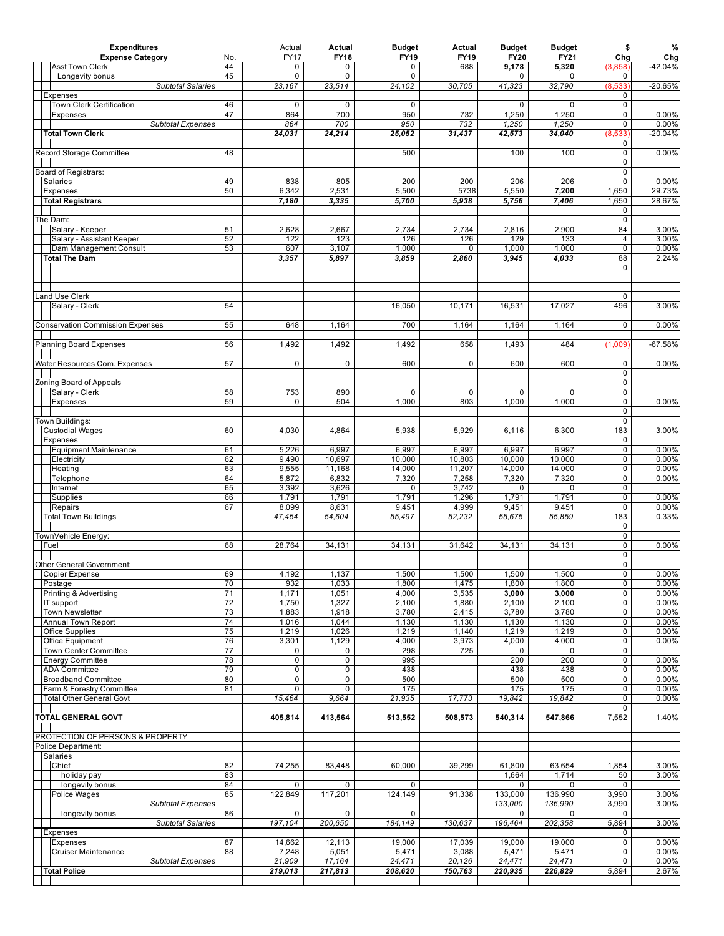| <b>Expenditures</b><br><b>Expense Category</b>         | No.      | Actual<br><b>FY17</b> | Actual<br><b>FY18</b> | <b>Budget</b><br><b>FY19</b> | Actual<br><b>FY19</b> | <b>Budget</b><br>FY20 | <b>Budget</b><br>FY21 | \$<br>Chg                     | %<br>Chg         |
|--------------------------------------------------------|----------|-----------------------|-----------------------|------------------------------|-----------------------|-----------------------|-----------------------|-------------------------------|------------------|
| <b>Asst Town Clerk</b>                                 | 44       | 0                     | $\mathbf 0$           | $\Omega$                     | 688                   | 9,178                 | 5,320                 | (3,858)                       | $-42.04%$        |
| Longevity bonus                                        | 45       | $\mathbf 0$           | $\mathbf 0$           | $\mathbf 0$                  |                       | 0                     | 0                     | 0                             |                  |
| <b>Subtotal Salaries</b>                               |          | 23,167                | 23,514                | 24,102                       | 30,705                | 41,323                | 32,790                | (8,533)<br>$\mathbf 0$        | $-20.65%$        |
| Expenses<br>Town Clerk Certification                   | 46       | $\mathbf 0$           | 0                     | $\mathbf 0$                  |                       | $\mathbf 0$           | 0                     | $\mathbf 0$                   |                  |
| <b>Expenses</b>                                        | 47       | 864                   | 700                   | 950                          | 732                   | 1,250                 | 1,250                 | 0                             | 0.00%            |
| <b>Subtotal Expenses</b>                               |          | 864                   | 700                   | 950                          | 732                   | 1,250                 | 1,250                 | $\mathbf 0$                   | 0.00%            |
| <b>Total Town Clerk</b>                                |          | 24,031                | 24,214                | 25,052                       | 31,437                | 42,573                | 34,040                | (8,533)                       | $-20.04%$        |
| Record Storage Committee                               | 48       |                       |                       | 500                          |                       | 100                   | 100                   | $\mathbf 0$<br>$\mathbf 0$    | 0.00%            |
|                                                        |          |                       |                       |                              |                       |                       |                       | $\mathsf 0$                   |                  |
| Board of Registrars:                                   |          |                       |                       |                              |                       |                       |                       | $\mathsf 0$                   |                  |
| Salaries                                               | 49       | 838                   | 805                   | 200                          | 200                   | 206                   | 206                   | 0                             | 0.00%            |
| Expenses<br><b>Total Registrars</b>                    | 50       | 6,342<br>7,180        | 2,531<br>3,335        | 5,500<br>5,700               | 5738<br>5,938         | 5,550<br>5,756        | 7,200<br>7,406        | 1,650<br>1,650                | 29.73%<br>28.67% |
|                                                        |          |                       |                       |                              |                       |                       |                       | 0                             |                  |
| The Dam:                                               |          |                       |                       |                              |                       |                       |                       | $\mathbf 0$                   |                  |
| Salary - Keeper                                        | 51       | 2,628                 | 2,667                 | 2,734                        | 2,734                 | 2,816                 | 2,900                 | 84                            | 3.00%            |
| Salary - Assistant Keeper                              | 52       | 122                   | 123                   | 126                          | 126                   | 129                   | 133                   | 4                             | 3.00%            |
| Dam Management Consult<br><b>Total The Dam</b>         | 53       | 607<br>3,357          | 3,107<br>5,897        | 1,000<br>3,859               | 0<br>2,860            | 1,000<br>3,945        | 1,000<br>4,033        | $\overline{0}$<br>88          | 0.00%<br>2.24%   |
|                                                        |          |                       |                       |                              |                       |                       |                       | $\mathbf 0$                   |                  |
|                                                        |          |                       |                       |                              |                       |                       |                       |                               |                  |
|                                                        |          |                       |                       |                              |                       |                       |                       |                               |                  |
| and Use Clerk                                          |          |                       |                       |                              |                       |                       |                       | $\mathbf 0$                   |                  |
| Salary - Clerk                                         | 54       |                       |                       | 16,050                       | 10,171                | 16,531                | 17,027                | 496                           | 3.00%            |
| <b>Conservation Commission Expenses</b>                | 55       | 648                   | 1,164                 | 700                          | 1,164                 | 1,164                 | 1,164                 | 0                             | 0.00%            |
|                                                        |          |                       |                       |                              |                       |                       |                       |                               |                  |
| <b>Planning Board Expenses</b>                         | 56       | 1,492                 | 1,492                 | 1,492                        | 658                   | 1,493                 | 484                   | (1,009)                       | $-67.58%$        |
|                                                        | 57       | $\mathbf 0$           | $\mathsf{O}$          | 600                          | $\mathbf 0$           | 600                   | 600                   | $\mathbf 0$                   | 0.00%            |
| Water Resources Com. Expenses                          |          |                       |                       |                              |                       |                       |                       | 0                             |                  |
| Zoning Board of Appeals                                |          |                       |                       |                              |                       |                       |                       | 0                             |                  |
| Salary - Clerk                                         | 58       | 753                   | 890                   | $\mathbf 0$                  | 0                     | $\mathbf 0$           | 0                     | $\overline{0}$                |                  |
| <b>Expenses</b>                                        | 59       | 0                     | 504                   | 1,000                        | 803                   | 1,000                 | 1,000                 | $\mathbf 0$                   | 0.00%            |
|                                                        |          |                       |                       |                              |                       |                       |                       | 0<br>$\overline{0}$           |                  |
| Town Buildings:<br><b>Custodial Wages</b>              | 60       | 4,030                 | 4,864                 | 5,938                        | 5,929                 | 6,116                 | 6,300                 | 183                           | 3.00%            |
| Expenses                                               |          |                       |                       |                              |                       |                       |                       | 0                             |                  |
| <b>Equipment Maintenance</b>                           | 61       | 5,226                 | 6,997                 | 6,997                        | 6,997                 | 6,997                 | 6,997                 | $\mathsf 0$                   | 0.00%            |
| Electricity                                            | 62       | 9,490                 | 10,697                | 10,000                       | 10,803                | 10,000                | 10,000                | $\mathbf 0$                   | 0.00%            |
| Heating                                                | 63<br>64 | 9,555                 | 11,168<br>6,832       | 14,000                       | 11,207                | 14,000                | 14,000                | $\overline{0}$<br>$\mathsf 0$ | 0.00%<br>0.00%   |
| Telephone<br>Internet                                  | 65       | 5,872<br>3,392        | 3,626                 | 7,320<br>$\mathbf 0$         | 7,258<br>3,742        | 7,320<br>0            | 7,320<br>0            | $\overline{0}$                |                  |
| Supplies                                               | 66       | 1,791                 | 1,791                 | 1,791                        | 1,296                 | 1,791                 | 1,791                 | 0                             | 0.00%            |
| Repairs                                                | 67       | 8,099                 | 8,631                 | 9,451                        | 4,999                 | 9,451                 | 9,451                 | $\mathbf 0$                   | 0.00%            |
| <b>Total Town Buildings</b>                            |          | 47,454                | 54,604                | 55,497                       | 52,232                | 55,675                | 55,859                | 183                           | 0.33%            |
|                                                        |          |                       |                       |                              |                       |                       |                       | 0<br>$\overline{0}$           |                  |
| TownVehicle Energy:<br>Fuel                            | 68       | 28,764                | 34,131                | 34,131                       | 31,642                | 34,131                | 34,131                | $\mathsf 0$                   | 0.00%            |
|                                                        |          |                       |                       |                              |                       |                       |                       | $\mathsf 0$                   |                  |
| Other General Government:                              |          |                       |                       |                              |                       |                       |                       | 0                             |                  |
| Copier Expense                                         | 69       | 4,192                 | 1,137                 | 1,500                        | 1,500                 | 1,500                 | 1,500                 | 0                             | $0.00\%$         |
| Postage<br>Printing & Advertising                      | 70<br>71 | 932<br>1,171          | 1,033<br>1,051        | 1,800<br>4,000               | 1,475<br>3,535        | 1,800<br>3,000        | 1,800<br>3,000        | $\overline{0}$<br>$\mathbf 0$ | 0.00%<br>0.00%   |
| IT support                                             | 72       | 1,750                 | 1,327                 | 2,100                        | 1,880                 | 2,100                 | 2,100                 | $\mathbf 0$                   | 0.00%            |
| <b>Town Newsletter</b>                                 | 73       | 1,883                 | 1,918                 | 3,780                        | 2,415                 | 3,780                 | 3,780                 | $\overline{0}$                | 0.00%            |
| Annual Town Report                                     | 74       | 1,016                 | 1,044                 | 1,130                        | 1,130                 | 1,130                 | 1,130                 | $\mathbf 0$                   | 0.00%            |
| Office Supplies                                        | 75       | 1,219                 | 1,026                 | 1,219                        | 1,140                 | 1,219                 | 1,219                 | $\mathbf 0$                   | 0.00%            |
| Office Equipment<br><b>Town Center Committee</b>       | 76<br>77 | 3,301<br>0            | 1,129<br>0            | 4,000<br>298                 | 3,973<br>725          | 4,000<br>0            | 4,000<br>0            | $\mathbf 0$<br>$\pmb{0}$      | 0.00%            |
| <b>Energy Committee</b>                                | 78       | 0                     | $\overline{0}$        | 995                          |                       | 200                   | 200                   | $\overline{0}$                | 0.00%            |
| <b>ADA Committee</b>                                   | 79       | 0                     | $\mathbf 0$           | 438                          |                       | 438                   | 438                   | $\mathbf 0$                   | 0.00%            |
| <b>Broadband Committee</b>                             | 80       | 0                     | 0                     | 500                          |                       | 500                   | 500                   | $\mathbf 0$                   | 0.00%            |
| Farm & Forestry Committee                              | 81       | 0                     | $\mathsf{O}$          | 175<br>21,935                |                       | 175                   | 175                   | $\mathbf 0$                   | 0.00%            |
| <b>Total Other General Govt</b>                        |          | 15,464                | 9,664                 |                              | 17,773                | 19,842                | 19,842                | 0<br>$\overline{0}$           | 0.00%            |
| <b>TOTAL GENERAL GOVT</b>                              |          | 405,814               | 413,564               | 513,552                      | 508,573               | 540,314               | 547,866               | 7,552                         | 1.40%            |
|                                                        |          |                       |                       |                              |                       |                       |                       |                               |                  |
| PROTECTION OF PERSONS & PROPERTY<br>Police Department: |          |                       |                       |                              |                       |                       |                       |                               |                  |
| Salaries                                               |          |                       |                       |                              |                       |                       |                       |                               |                  |
| Chief                                                  | 82       | 74,255                | 83,448                | 60,000                       | 39,299                | 61,800                | 63,654                | 1,854                         | 3.00%            |
| holiday pay                                            | 83       |                       |                       |                              |                       | 1,664                 | 1,714                 | 50                            | 3.00%            |
| longevity bonus                                        | 84       | $\mathbf 0$           | 0                     | 0                            |                       | 0                     | 0                     | $\mathbf 0$                   |                  |
| Police Wages<br>Subtotal Expenses                      | 85       | 122,849               | 117,201               | 124,149                      | 91,338                | 133,000<br>133,000    | 136,990<br>136,990    | 3,990<br>3,990                | 3.00%<br>3.00%   |
| longevity bonus                                        | 86       | 0                     | 0                     | 0                            |                       | 0                     | 0                     | 0                             |                  |
| <b>Subtotal Salaries</b>                               |          | 197,104               | 200,650               | 184,149                      | 130,637               | 196,464               | 202,358               | 5,894                         | 3.00%            |
| <b>Expenses</b>                                        |          |                       |                       |                              |                       |                       |                       | 0                             |                  |
| <b>Expenses</b>                                        | 87<br>88 | 14,662                | 12,113                | 19,000                       | 17,039                | 19,000                | 19,000                | 0                             | 0.00%            |
| Cruiser Maintenance<br><b>Subtotal Expenses</b>        |          | 7,248<br>21,909       | 5,051<br>17,164       | 5,471<br>24,471              | 3,088<br>20,126       | 5,471<br>24,471       | 5,471<br>24,471       | 0<br>0                        | 0.00%<br>0.00%   |
| <b>Total Police</b>                                    |          | 219,013               | 217,813               | 208,620                      | 150,763               | 220,935               | 226,829               | 5,894                         | 2.67%            |
|                                                        |          |                       |                       |                              |                       |                       |                       |                               |                  |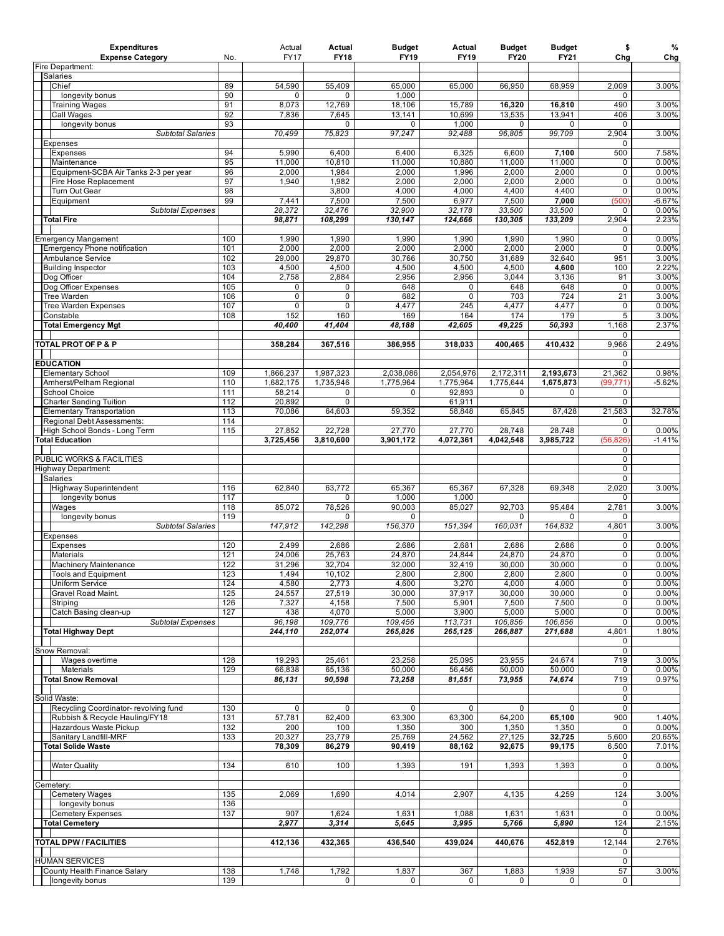| <b>Expenditures</b><br><b>Expense Category</b>                 | No.        | Actual<br><b>FY17</b> | Actual<br><b>FY18</b> | <b>Budget</b><br>FY19 | Actual<br><b>FY19</b> | <b>Budget</b><br><b>FY20</b> | <b>Budget</b><br><b>FY21</b> | \$<br>Chg                  | %<br>Chg       |
|----------------------------------------------------------------|------------|-----------------------|-----------------------|-----------------------|-----------------------|------------------------------|------------------------------|----------------------------|----------------|
| Fire Department:                                               |            |                       |                       |                       |                       |                              |                              |                            |                |
| <b>Salaries</b><br>Chief                                       |            |                       |                       |                       |                       |                              |                              |                            |                |
| longevity bonus                                                | 89<br>90   | 54,590<br>0           | 55,409<br>0           | 65,000<br>1,000       | 65,000                | 66,950                       | 68,959                       | 2,009<br>0                 | 3.00%          |
| <b>Training Wages</b>                                          | 91         | 8,073                 | 12,769                | 18,106                | 15,789                | 16,320                       | 16,810                       | 490                        | 3.00%          |
| <b>Call Wages</b>                                              | 92         | 7,836                 | 7,645                 | 13,141                | 10,699                | 13,535                       | 13,941                       | 406                        | 3.00%          |
| longevity bonus                                                | 93         | 70,499                | 0<br>75,823           | 0<br>97,247           | 1.000<br>92,488       | 0<br>96,805                  | $\mathbf 0$<br>99,709        | 0<br>2,904                 | 3.00%          |
| <b>Subtotal Salaries</b><br>Expenses                           |            |                       |                       |                       |                       |                              |                              | 0                          |                |
| <b>Expenses</b>                                                | 94         | 5,990                 | 6,400                 | 6,400                 | 6,325                 | 6,600                        | 7,100                        | 500                        | 7.58%          |
| Maintenance                                                    | 95         | 11,000                | 10,810                | 11,000                | 10,880                | 11,000                       | 11,000                       | 0                          | 0.00%          |
| Equipment-SCBA Air Tanks 2-3 per year<br>Fire Hose Replacement | 96<br>97   | 2,000<br>1,940        | 1,984<br>1,982        | 2,000<br>2,000        | 1,996<br>2,000        | 2,000<br>2,000               | 2,000<br>2,000               | $\mathbf 0$<br>0           | 0.00%<br>0.00% |
| Turn Out Gear                                                  | 98         |                       | 3,800                 | 4,000                 | 4,000                 | 4,400                        | 4,400                        | 0                          | 0.00%          |
| Equipment                                                      | 99         | 7,441                 | 7,500                 | 7,500                 | 6,977                 | 7,500                        | 7,000                        | (500)                      | $-6.67%$       |
| <b>Subtotal Expenses</b>                                       |            | 28,372                | 32,476                | 32,900                | 32,178                | 33,500                       | 33,500                       | 0                          | 0.00%          |
| <b>Total Fire</b>                                              |            | 98,871                | 108,299               | 130,147               | 124,666               | 130,305                      | 133,209                      | 2,904<br>0                 | 2.23%          |
| <b>Emergency Mangement</b>                                     | 100        | 1,990                 | 1,990                 | 1,990                 | 1,990                 | 1,990                        | 1,990                        | 0                          | 0.00%          |
| <b>Emergency Phone notification</b>                            | 101        | 2,000                 | 2,000                 | 2,000                 | 2,000                 | 2,000                        | 2,000                        | 0                          | 0.00%          |
| Ambulance Service                                              | 102        | 29,000                | 29,870                | 30,766                | 30,750                | 31,689                       | 32,640                       | 951                        | 3.00%          |
| <b>Building Inspector</b><br>Dog Officer                       | 103<br>104 | 4,500<br>2,758        | 4,500<br>2,884        | 4,500<br>2,956        | 4,500<br>2,956        | 4,500<br>3,044               | 4,600<br>3,136               | 100<br>91                  | 2.22%<br>3.00% |
| Dog Officer Expenses                                           | 105        | 0                     | 0                     | 648                   | 0                     | 648                          | 648                          | $\mathbf 0$                | 0.00%          |
| <b>Tree Warden</b>                                             | 106        | $\overline{0}$        | $\overline{0}$        | 682                   | $\overline{0}$        | 703                          | 724                          | 21                         | 3.00%          |
| <b>Tree Warden Expenses</b>                                    | 107        | 0                     | 0                     | 4,477                 | 245                   | 4,477                        | 4,477                        | 0                          | 0.00%          |
| Constable<br><b>Total Emergency Mgt</b>                        | 108        | 152<br>40,400         | 160<br>41,404         | 169<br>48,188         | 164<br>42,605         | 174<br>49,225                | 179<br>50,393                | 5<br>1,168                 | 3.00%<br>2.37% |
|                                                                |            |                       |                       |                       |                       |                              |                              | 0                          |                |
| TOTAL PROT OF P & P                                            |            | 358,284               | 367,516               | 386,955               | 318.033               | 400,465                      | 410.432                      | 9,966                      | 2.49%          |
|                                                                |            |                       |                       |                       |                       |                              |                              | 0<br>0                     |                |
| <b>EDUCATION</b><br><b>Elementary School</b>                   | 109        | 1,866,237             | 1,987,323             | 2,038,086             | 2,054,976             | 2,172,311                    | 2,193,673                    | 21,362                     | 0.98%          |
| Amherst/Pelham Regional                                        | 110        | 1,682,175             | 1,735,946             | 1,775,964             | 1,775,964             | 1,775,644                    | 1,675,873                    | (99, 771)                  | $-5.62%$       |
| School Choice                                                  | 111        | 58,214                | 0                     | 0                     | 92,893                | 0                            | 0                            | 0                          |                |
| <b>Charter Sending Tuition</b>                                 | 112<br>113 | 20,892                | 0<br>64,603           |                       | 61,911                |                              |                              | 0                          | 32.78%         |
| <b>Elementary Transportation</b><br>Regional Debt Assessments: | 114        | 70,086                |                       | 59,352                | 58,848                | 65,845                       | 87,428                       | 21,583<br>0                |                |
| High School Bonds - Long Term                                  | 115        | 27,852                | 22,728                | 27,770                | 27,770                | 28,748                       | 28,748                       | 0                          | 0.00%          |
| <b>Total Education</b>                                         |            | 3,725,456             | 3,810,600             | 3,901,172             | 4,072,361             | 4,042,548                    | 3,985,722                    | (56, 826)                  | $-1.41%$       |
| PUBLIC WORKS & FACILITIES                                      |            |                       |                       |                       |                       |                              |                              | $\mathbf 0$<br>$\mathbf 0$ |                |
| <b>Highway Department:</b>                                     |            |                       |                       |                       |                       |                              |                              | 0                          |                |
| Salaries                                                       |            |                       |                       |                       |                       |                              |                              | 0                          |                |
| Highway Superintendent                                         | 116        | 62,840                | 63,772                | 65,367                | 65,367                | 67,328                       | 69,348                       | 2,020                      | 3.00%          |
| longevity bonus<br>Wages                                       | 117<br>118 | 85,072                | 0<br>78,526           | 1,000<br>90,003       | 1,000<br>85,027       | 92,703                       | 95,484                       | 0<br>2,781                 | 3.00%          |
| longevity bonus                                                | 119        |                       | 0                     | 0                     |                       | 0                            | $\mathbf 0$                  | 0                          |                |
| <b>Subtotal Salaries</b>                                       |            | 147,912               | 142,298               | 156,370               | 151,394               | 160,031                      | 164,832                      | 4,801                      | 3.00%          |
| Expenses                                                       |            |                       |                       |                       |                       |                              |                              | 0                          |                |
| <b>Expenses</b><br>Materials                                   | 120<br>121 | 2,499<br>24,006       | 2,686<br>25,763       | 2,686<br>24.870       | 2,681<br>24,844       | 2,686<br>24,870              | 2,686<br>24,870              | 0<br>0                     | 0.00%<br>0.00% |
| <b>Machinery Maintenance</b>                                   | 122        | 31,296                | 32,704                | 32,000                | 32,419                | 30,000                       | 30,000                       | 0                          | 0.00%          |
| <b>Tools and Equipment</b>                                     | 123        | 1,494                 | 10,102                | 2,800                 | 2,800                 | 2,800                        | 2,800                        | $\mathbf 0$                | 0.00%          |
| Uniform Service                                                | 124        | 4,580                 | 2,773                 | 4,600                 | 3,270                 | 4,000                        | 4,000<br>30,000              | $\overline{0}$             | 0.00%          |
| Gravel Road Maint.<br>Striping                                 | 125<br>126 | 24,557<br>7,327       | 27,519<br>4,158       | 30,000<br>7,500       | 37,917<br>5,901       | 30,000<br>7,500              | 7,500                        | 0<br>0                     | 0.00%<br>0.00% |
| Catch Basing clean-up                                          | 127        | 438                   | 4,070                 | 5,000                 | 3,900                 | 5,000                        | 5,000                        | $\overline{0}$             | 0.00%          |
| <b>Subtotal Expenses</b>                                       |            | 96,198                | 109,776               | 109,456               | 113,731               | 106,856                      | 106,856                      | 0                          | 0.00%          |
| <b>Total Highway Dept</b>                                      |            | 244,110               | 252,074               | 265,826               | 265,125               | 266,887                      | 271,688                      | 4,801<br>0                 | 1.80%          |
| Snow Removal:                                                  |            |                       |                       |                       |                       |                              |                              | 0                          |                |
| Wages overtime                                                 | 128        | 19,293                | 25,461                | 23,258                | 25,095                | 23,955                       | 24,674                       | 719                        | 3.00%          |
| Materials                                                      | 129        | 66.838                | 65,136                | 50.000                | 56,456                | 50,000                       | 50,000                       | 0                          | 0.00%          |
| <b>Total Snow Removal</b>                                      |            | 86,131                | 90,598                | 73,258                | 81,551                | 73,955                       | 74,674                       | 719<br>0                   | 0.97%          |
| Solid Waste:                                                   |            |                       |                       |                       |                       |                              |                              | 0                          |                |
| Recycling Coordinator- revolving fund                          | 130        | $\mathbf 0$           | $\mathbf 0$           | 0                     | 0                     | $\mathbf 0$                  | 0                            | $\mathbf 0$                |                |
| Rubbish & Recycle Hauling/FY18<br>Hazardous Waste Pickup       | 131        | 57,781                | 62,400<br>100         | 63,300                | 63,300<br>300         | 64,200<br>1,350              | 65,100<br>1,350              | 900                        | 1.40%<br>0.00% |
| Sanitary Landfill-MRF                                          | 132<br>133 | 200<br>20,327         | 23,779                | 1,350<br>25,769       | 24,562                | 27,125                       | 32,725                       | 0<br>5,600                 | 20.65%         |
| <b>Total Solide Waste</b>                                      |            | 78,309                | 86,279                | 90,419                | 88,162                | 92,675                       | 99,175                       | 6,500                      | 7.01%          |
|                                                                |            |                       |                       |                       |                       |                              |                              | 0                          |                |
| <b>Water Quality</b>                                           | 134        | 610                   | 100                   | 1,393                 | 191                   | 1,393                        | 1,393                        | 0<br>0                     | 0.00%          |
| Cemetery:                                                      |            |                       |                       |                       |                       |                              |                              | 0                          |                |
| <b>Cemetery Wages</b>                                          | 135        | 2,069                 | 1,690                 | 4,014                 | 2,907                 | 4,135                        | 4,259                        | 124                        | 3.00%          |
| longevity bonus                                                | 136        |                       |                       |                       |                       |                              |                              | 0                          |                |
| <b>Cemetery Expenses</b><br><b>Total Cemetery</b>              | 137        | 907<br>2,977          | 1,624<br>3,314        | 1,631<br>5,645        | 1,088<br>3,995        | 1,631<br>5,766               | 1,631<br>5,890               | 0<br>124                   | 0.00%<br>2.15% |
|                                                                |            |                       |                       |                       |                       |                              |                              | 0                          |                |
| <b>TOTAL DPW / FACILITIES</b>                                  |            | 412,136               | 432,365               | 436,540               | 439,024               | 440,676                      | 452,819                      | 12,144                     | 2.76%          |
|                                                                |            |                       |                       |                       |                       |                              |                              | 0                          |                |
| <b>HUMAN SERVICES</b><br>County Health Finance Salary          | 138        | 1,748                 | 1,792                 | 1,837                 | 367                   | 1,883                        | 1,939                        | $\mathbf 0$<br>57          | 3.00%          |
| longevity bonus                                                | 139        |                       | 0                     | 0                     | $\mathbf 0$           | 0                            | $\mathbf 0$                  | 0                          |                |